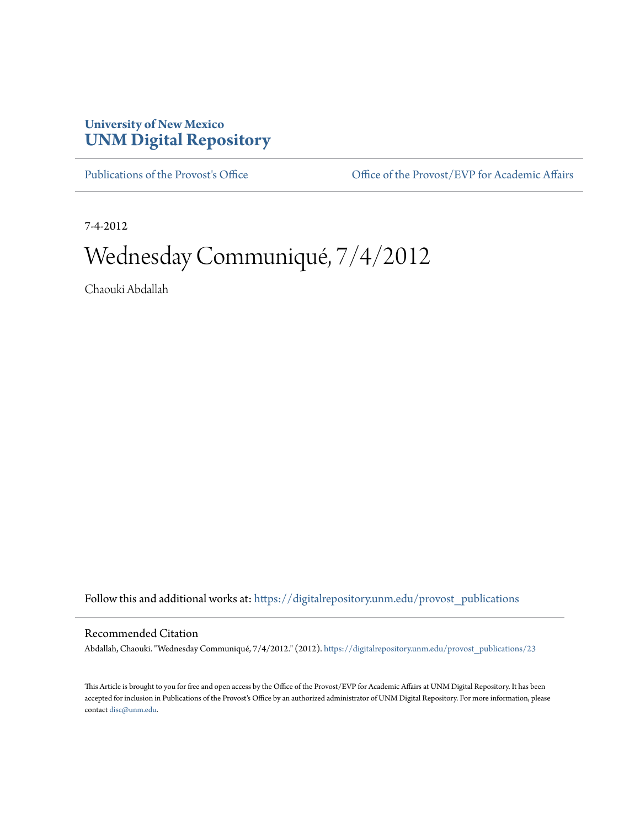## **University of New Mexico [UNM Digital Repository](https://digitalrepository.unm.edu?utm_source=digitalrepository.unm.edu%2Fprovost_publications%2F23&utm_medium=PDF&utm_campaign=PDFCoverPages)**

[Publications of the Provost's Office](https://digitalrepository.unm.edu/provost_publications?utm_source=digitalrepository.unm.edu%2Fprovost_publications%2F23&utm_medium=PDF&utm_campaign=PDFCoverPages) Office [Office of the Provost/EVP for Academic Affairs](https://digitalrepository.unm.edu/ofc_provost?utm_source=digitalrepository.unm.edu%2Fprovost_publications%2F23&utm_medium=PDF&utm_campaign=PDFCoverPages)

7-4-2012

## Wednesday Communiqué, 7/4/2012

Chaouki Abdallah

Follow this and additional works at: [https://digitalrepository.unm.edu/provost\\_publications](https://digitalrepository.unm.edu/provost_publications?utm_source=digitalrepository.unm.edu%2Fprovost_publications%2F23&utm_medium=PDF&utm_campaign=PDFCoverPages)

## Recommended Citation

Abdallah, Chaouki. "Wednesday Communiqué, 7/4/2012." (2012). [https://digitalrepository.unm.edu/provost\\_publications/23](https://digitalrepository.unm.edu/provost_publications/23?utm_source=digitalrepository.unm.edu%2Fprovost_publications%2F23&utm_medium=PDF&utm_campaign=PDFCoverPages)

This Article is brought to you for free and open access by the Office of the Provost/EVP for Academic Affairs at UNM Digital Repository. It has been accepted for inclusion in Publications of the Provost's Office by an authorized administrator of UNM Digital Repository. For more information, please contact [disc@unm.edu.](mailto:disc@unm.edu)